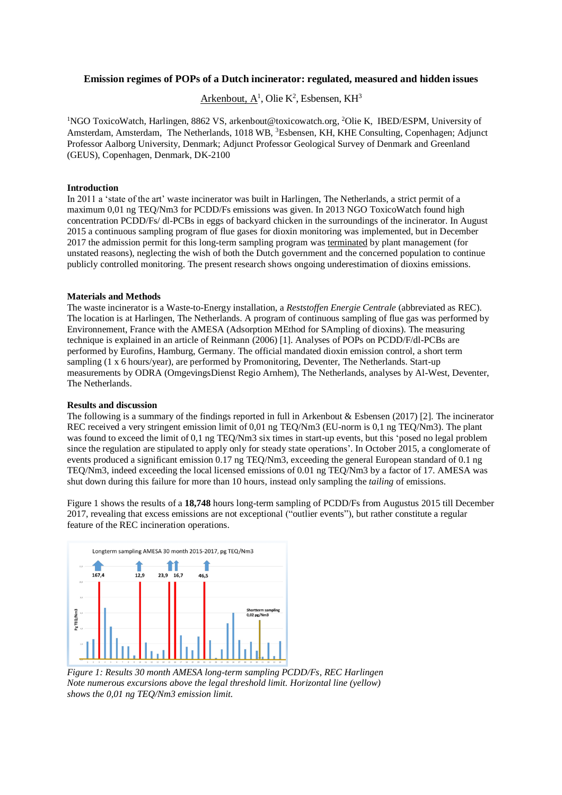# **Emission regimes of POPs of a Dutch incinerator: regulated, measured and hidden issues**

Arkenbout,  $A^1$ , Olie K<sup>2</sup>, Esbensen, KH<sup>3</sup>

<sup>1</sup>NGO ToxicoWatch, Harlingen, 8862 VS, [arkenbout@toxicowatch.org,](mailto:arkenbout@toxicowatch.org) <sup>2</sup>Olie K, IBED/ESPM, University of Amsterdam, Amsterdam, The Netherlands, 1018 WB, <sup>3</sup>Esbensen, KH, KHE Consulting, Copenhagen; Adjunct Professor Aalborg University, Denmark; Adjunct Professor Geological Survey of Denmark and Greenland (GEUS), Copenhagen, Denmark, DK-2100

## **Introduction**

In 2011 a 'state of the art' waste incinerator was built in Harlingen, The Netherlands, a strict permit of a maximum 0,01 ng TEQ/Nm3 for PCDD/Fs emissions was given. In 2013 NGO ToxicoWatch found high concentration PCDD/Fs/ dl-PCBs in eggs of backyard chicken in the surroundings of the incinerator. In August 2015 a continuous sampling program of flue gases for dioxin monitoring was implemented, but in December 2017 the admission permit for this long-term sampling program was terminated by plant management (for unstated reasons), neglecting the wish of both the Dutch government and the concerned population to continue publicly controlled monitoring. The present research shows ongoing underestimation of dioxins emissions.

### **Materials and Methods**

The waste incinerator is a Waste-to-Energy installation, a *Reststoffen Energie Centrale* (abbreviated as REC). The location is at Harlingen, The Netherlands. A program of continuous sampling of flue gas was performed by Environnement, France with the AMESA (Adsorption MEthod for SAmpling of dioxins). The measuring technique is explained in an article of Reinmann (2006) [1]. Analyses of POPs on PCDD/F/dl-PCBs are performed by Eurofins, Hamburg, Germany. The official mandated dioxin emission control, a short term sampling (1 x 6 hours/year), are performed by Promonitoring, Deventer, The Netherlands. Start-up measurements by ODRA (OmgevingsDienst Regio Arnhem), The Netherlands, analyses by Al-West, Deventer, The Netherlands.

### **Results and discussion**

The following is a summary of the findings reported in full in Arkenbout & Esbensen (2017) [2]. The incinerator REC received a very stringent emission limit of 0,01 ng TEQ/Nm3 (EU-norm is 0,1 ng TEQ/Nm3). The plant was found to exceed the limit of 0,1 ng TEQ/Nm3 six times in start-up events, but this 'posed no legal problem since the regulation are stipulated to apply only for steady state operations'. In October 2015, a conglomerate of events produced a significant emission 0.17 ng TEQ/Nm3, exceeding the general European standard of 0.1 ng TEQ/Nm3, indeed exceeding the local licensed emissions of 0.01 ng TEQ/Nm3 by a factor of 17. AMESA was shut down during this failure for more than 10 hours, instead only sampling the *tailing* of emissions.

Figure 1 shows the results of a **18,748** hours long-term sampling of PCDD/Fs from Augustus 2015 till December 2017, revealing that excess emissions are not exceptional ("outlier events"), but rather constitute a regular feature of the REC incineration operations.



*Figure 1: Results 30 month AMESA long-term sampling PCDD/Fs, REC Harlingen Note numerous excursions above the legal threshold limit. Horizontal line (yellow) shows the 0,01 ng TEQ/Nm3 emission limit.*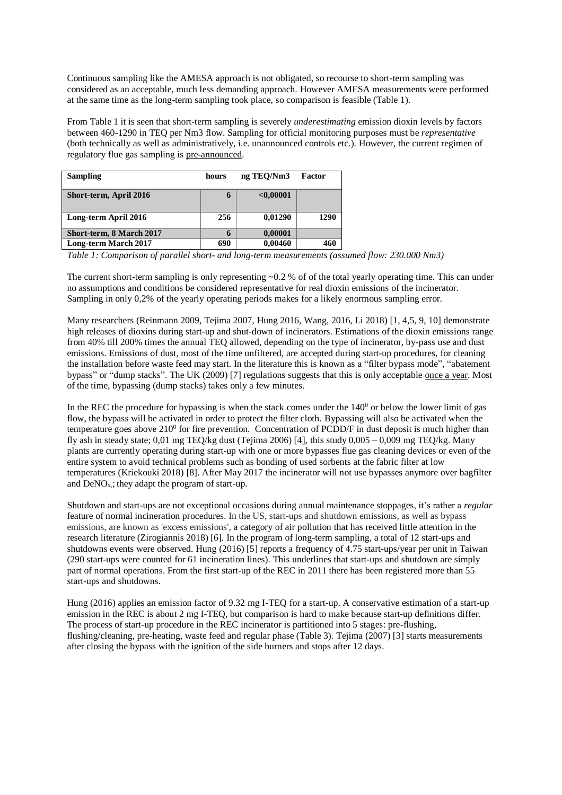Continuous sampling like the AMESA approach is not obligated, so recourse to short-term sampling was considered as an acceptable, much less demanding approach. However AMESA measurements were performed at the same time as the long-term sampling took place, so comparison is feasible (Table 1).

From Table 1 it is seen that short-term sampling is severely *underestimating* emission dioxin levels by factors between 460-1290 in TEQ per Nm3 flow. Sampling for official monitoring purposes must be *representative* (both technically as well as administratively, i.e. unannounced controls etc.). However, the current regimen of regulatory flue gas sampling is pre-announced.

| <b>Sampling</b>             | hours | ng TEO/Nm3 | Factor |
|-----------------------------|-------|------------|--------|
| Short-term, April 2016      | 6     | < 0.00001  |        |
| Long-term April 2016        | 256   | 0,01290    | 1290   |
| Short-term, 8 March 2017    | 6     | 0,00001    |        |
| <b>Long-term March 2017</b> | 690   | 0.00460    | 460    |

*Table 1: Comparison of parallel short- and long-term measurements (assumed flow: 230.000 Nm3)*

The current short-term sampling is only representing  $\sim 0.2$  % of of the total yearly operating time. This can under no assumptions and conditions be considered representative for real dioxin emissions of the incinerator. Sampling in only 0,2% of the yearly operating periods makes for a likely enormous sampling error.

Many researchers (Reinmann 2009, Tejima 2007, Hung 2016, Wang, 2016, Li 2018) [1, 4,5, 9, 10] demonstrate high releases of dioxins during start-up and shut-down of incinerators. Estimations of the dioxin emissions range from 40% till 200% times the annual TEQ allowed, depending on the type of incinerator, by-pass use and dust emissions. Emissions of dust, most of the time unfiltered, are accepted during start-up procedures, for cleaning the installation before waste feed may start. In the literature this is known as a "filter bypass mode", "abatement bypass" or "dump stacks". The UK (2009) [7] regulations suggests that this is only acceptable once a year. Most of the time, bypassing (dump stacks) takes only a few minutes.

In the REC the procedure for bypassing is when the stack comes under the  $140<sup>0</sup>$  or below the lower limit of gas flow, the bypass will be activated in order to protect the filter cloth. Bypassing will also be activated when the temperature goes above  $210^{\circ}$  for fire prevention. Concentration of PCDD/F in dust deposit is much higher than fly ash in steady state; 0,01 mg TEO/kg dust (Tejima 2006) [4], this study  $0.005 - 0.009$  mg TEO/kg. Many plants are currently operating during start-up with one or more bypasses flue gas cleaning devices or even of the entire system to avoid technical problems such as bonding of used sorbents at the fabric filter at low temperatures (Kriekouki 2018) [8]. After May 2017 the incinerator will not use bypasses anymore over bagfilter and  $DeNO<sub>x</sub>$ ; they adapt the program of start-up.

Shutdown and start-ups are not exceptional occasions during annual maintenance stoppages, it's rather a *regular* feature of normal incineration procedures. In the US, start-ups and shutdown emissions, as well as bypass emissions, are known as 'excess emissions', a category of air pollution that has received little attention in the research literature (Zirogiannis 2018) [6]. In the program of long-term sampling, a total of 12 start-ups and shutdowns events were observed. Hung (2016) [5] reports a frequency of 4.75 start-ups/year per unit in Taiwan (290 start-ups were counted for 61 incineration lines). This underlines that start-ups and shutdown are simply part of normal operations. From the first start-up of the REC in 2011 there has been registered more than 55 start-ups and shutdowns.

Hung (2016) applies an emission factor of 9.32 mg I-TEQ for a start-up. A conservative estimation of a start-up emission in the REC is about 2 mg I-TEQ, but comparison is hard to make because start-up definitions differ. The process of start-up procedure in the REC incinerator is partitioned into 5 stages: pre-flushing, flushing/cleaning, pre-heating, waste feed and regular phase (Table 3). Tejima (2007) [3] starts measurements after closing the bypass with the ignition of the side burners and stops after 12 days.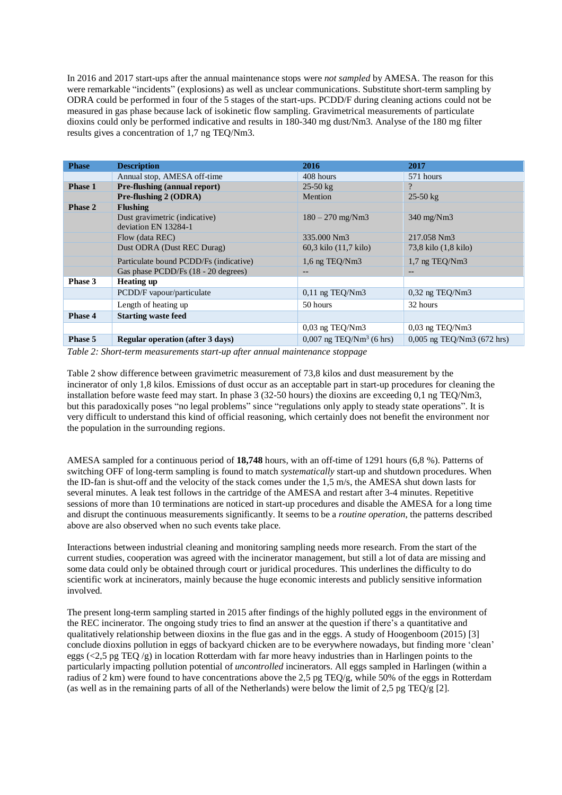In 2016 and 2017 start-ups after the annual maintenance stops were *not sampled* by AMESA. The reason for this were remarkable "incidents" (explosions) as well as unclear communications. Substitute short-term sampling by ODRA could be performed in four of the 5 stages of the start-ups. PCDD/F during cleaning actions could not be measured in gas phase because lack of isokinetic flow sampling. Gravimetrical measurements of particulate dioxins could only be performed indicative and results in 180-340 mg dust/Nm3. Analyse of the 180 mg filter results gives a concentration of 1,7 ng TEQ/Nm3.

| <b>Phase</b>   | <b>Description</b>                                    | 2016                                   | 2017                         |
|----------------|-------------------------------------------------------|----------------------------------------|------------------------------|
|                | Annual stop, AMESA off-time                           | 408 hours                              | 571 hours                    |
| <b>Phase 1</b> | <b>Pre-flushing (annual report)</b>                   | $25-50 \text{ kg}$                     | $\overline{?}$               |
|                | Pre-flushing 2 (ODRA)                                 | Mention                                | $25-50 \text{ kg}$           |
| <b>Phase 2</b> | <b>Flushing</b>                                       |                                        |                              |
|                | Dust gravimetric (indicative)<br>deviation EN 13284-1 | $180 - 270$ mg/Nm3                     | $340 \text{ mg}/\text{Nm}3$  |
|                | Flow (data REC)                                       | 335,000 Nm3                            | 217.058 Nm3                  |
|                | Dust ODRA (Dust REC Durag)                            | 60.3 kilo (11.7 kilo)                  | 73,8 kilo (1,8 kilo)         |
|                | Particulate bound PCDD/Fs (indicative)                | 1,6 ng TEQ/Nm3                         | 1,7 ng TEQ/Nm3               |
|                | Gas phase PCDD/Fs (18 - 20 degrees)                   |                                        |                              |
| Phase 3        | <b>Heating up</b>                                     |                                        |                              |
|                | PCDD/F vapour/particulate                             | $0,11$ ng TEQ/Nm3                      | $0,32$ ng TEQ/Nm3            |
|                | Length of heating up                                  | 50 hours                               | 32 hours                     |
| Phase 4        | <b>Starting waste feed</b>                            |                                        |                              |
|                |                                                       | $0,03$ ng TEQ/Nm3                      | $0.03$ ng TEQ/Nm3            |
| Phase 5        | <b>Regular operation (after 3 days)</b>               | $0,007$ ng TEQ/Nm <sup>3</sup> (6 hrs) | $0,005$ ng TEQ/Nm3 (672 hrs) |

*Table 2: Short-term measurements start-up after annual maintenance stoppage* 

Table 2 show difference between gravimetric measurement of 73,8 kilos and dust measurement by the incinerator of only 1,8 kilos. Emissions of dust occur as an acceptable part in start-up procedures for cleaning the installation before waste feed may start. In phase 3 (32-50 hours) the dioxins are exceeding 0,1 ng TEQ/Nm3, but this paradoxically poses "no legal problems" since "regulations only apply to steady state operations". It is very difficult to understand this kind of official reasoning, which certainly does not benefit the environment nor the population in the surrounding regions.

AMESA sampled for a continuous period of **18,748** hours, with an off-time of 1291 hours (6,8 %). Patterns of switching OFF of long-term sampling is found to match *systematically* start-up and shutdown procedures. When the ID-fan is shut-off and the velocity of the stack comes under the 1,5 m/s, the AMESA shut down lasts for several minutes. A leak test follows in the cartridge of the AMESA and restart after 3-4 minutes. Repetitive sessions of more than 10 terminations are noticed in start-up procedures and disable the AMESA for a long time and disrupt the continuous measurements significantly. It seems to be a *routine operation*, the patterns described above are also observed when no such events take place.

Interactions between industrial cleaning and monitoring sampling needs more research. From the start of the current studies, cooperation was agreed with the incinerator management, but still a lot of data are missing and some data could only be obtained through court or juridical procedures. This underlines the difficulty to do scientific work at incinerators, mainly because the huge economic interests and publicly sensitive information involved.

The present long-term sampling started in 2015 after findings of the highly polluted eggs in the environment of the REC incinerator. The ongoing study tries to find an answer at the question if there's a quantitative and qualitatively relationship between dioxins in the flue gas and in the eggs. A study of Hoogenboom (2015) [3] conclude dioxins pollution in eggs of backyard chicken are to be everywhere nowadays, but finding more 'clean' eggs (<2,5 pg TEQ  $/g$ ) in location Rotterdam with far more heavy industries than in Harlingen points to the particularly impacting pollution potential of *uncontrolled* incinerators. All eggs sampled in Harlingen (within a radius of 2 km) were found to have concentrations above the 2,5 pg TEQ/g, while 50% of the eggs in Rotterdam (as well as in the remaining parts of all of the Netherlands) were below the limit of 2,5 pg TEQ/g [2].